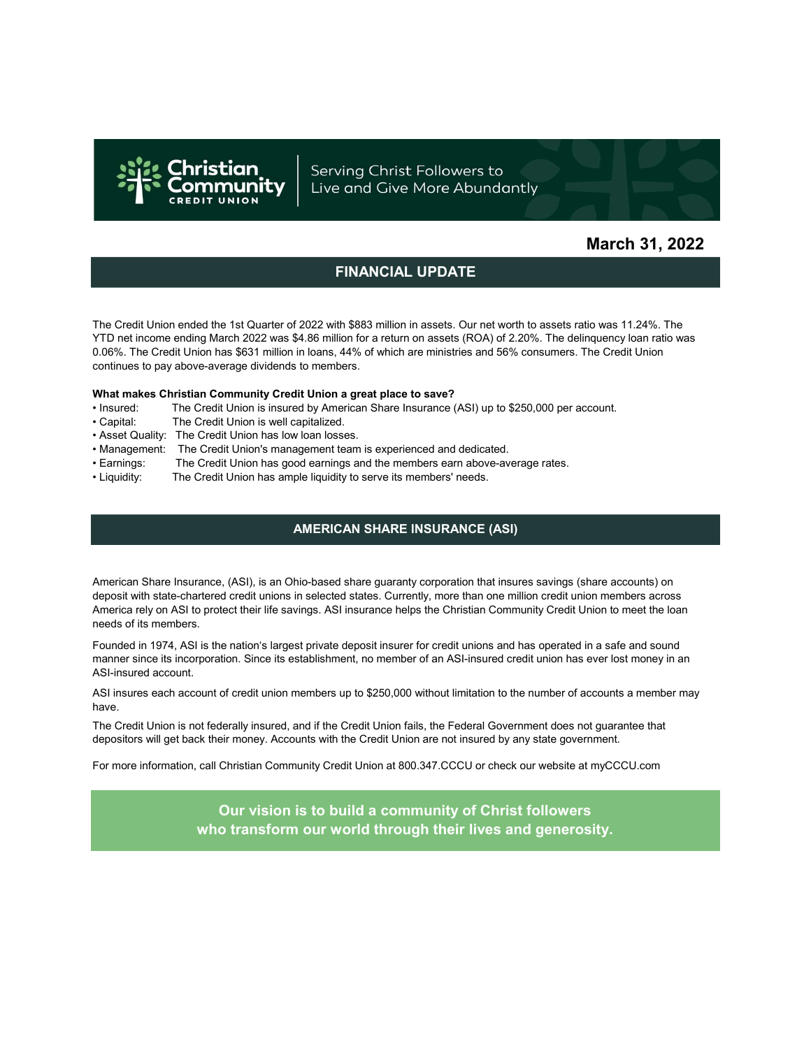

Serving Christ Followers to Live and Give More Abundantly

## March 31, 2022

## FINANCIAL UPDATE

The Credit Union ended the 1st Quarter of 2022 with \$883 million in assets. Our net worth to assets ratio was 11.24%. The YTD net income ending March 2022 was \$4.86 million for a return on assets (ROA) of 2.20%. The delinquency loan ratio was 0.06%. The Credit Union has \$631 million in loans, 44% of which are ministries and 56% consumers. The Credit Union continues to pay above-average dividends to members.

#### What makes Christian Community Credit Union a great place to save?

- Insured: The Credit Union is insured by American Share Insurance (ASI) up to \$250,000 per account.
- Capital: The Credit Union is well capitalized.
- Asset Quality: The Credit Union has low loan losses.
- Management: The Credit Union's management team is experienced and dedicated.
- Earnings: The Credit Union has good earnings and the members earn above-average rates.
- Liquidity: The Credit Union has ample liquidity to serve its members' needs.

### AMERICAN SHARE INSURANCE (ASI)

American Share Insurance, (ASI), is an Ohio-based share guaranty corporation that insures savings (share accounts) on deposit with state-chartered credit unions in selected states. Currently, more than one million credit union members across America rely on ASI to protect their life savings. ASI insurance helps the Christian Community Credit Union to meet the loan needs of its members.

Founded in 1974, ASI is the nation's largest private deposit insurer for credit unions and has operated in a safe and sound manner since its incorporation. Since its establishment, no member of an ASI-insured credit union has ever lost money in an ASI-insured account.

ASI insures each account of credit union members up to \$250,000 without limitation to the number of accounts a member may have.

The Credit Union is not federally insured, and if the Credit Union fails, the Federal Government does not guarantee that depositors will get back their money. Accounts with the Credit Union are not insured by any state government.

For more information, call Christian Community Credit Union at 800.347.CCCU or check our website at myCCCU.com

Our vision is to build a community of Christ followers who transform our world through their lives and generosity.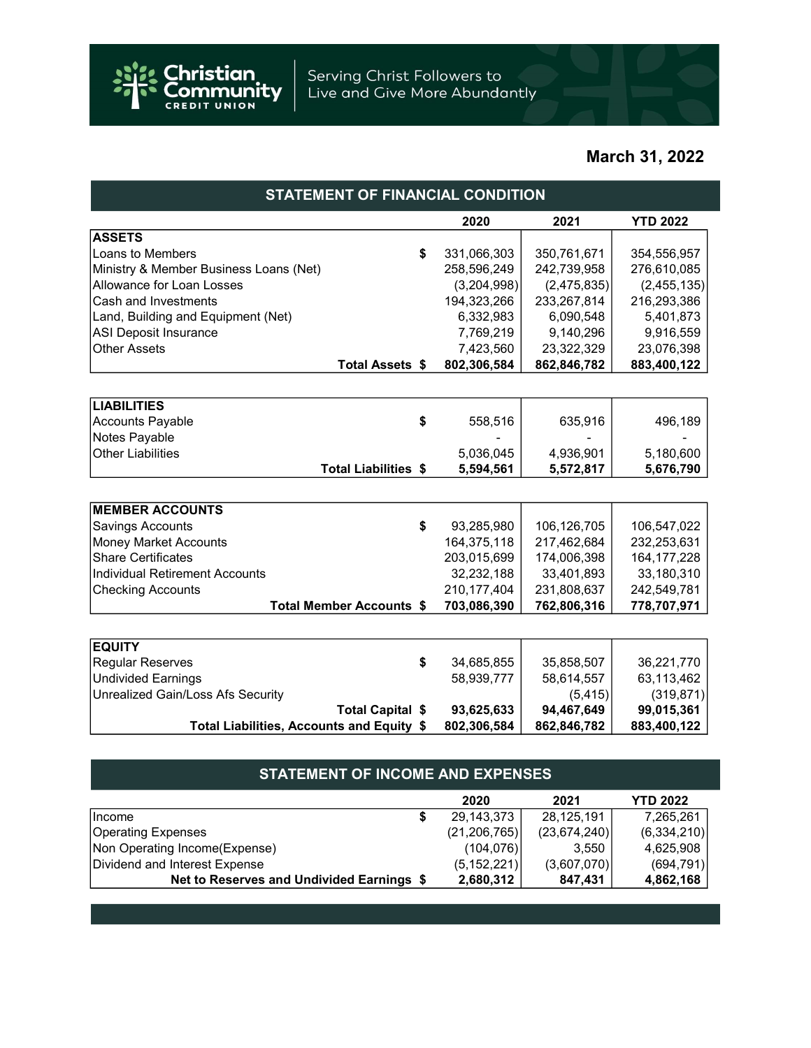

# March 31, 2022

| <b>STATEMENT OF FINANCIAL CONDITION</b>   |               |             |                 |  |  |  |
|-------------------------------------------|---------------|-------------|-----------------|--|--|--|
|                                           | 2020          | 2021        | <b>YTD 2022</b> |  |  |  |
| <b>ASSETS</b>                             |               |             |                 |  |  |  |
| Loans to Members<br>\$                    | 331,066,303   | 350,761,671 | 354,556,957     |  |  |  |
| Ministry & Member Business Loans (Net)    | 258,596,249   | 242,739,958 | 276,610,085     |  |  |  |
| Allowance for Loan Losses                 | (3,204,998)   | (2,475,835) | (2, 455, 135)   |  |  |  |
| Cash and Investments                      | 194,323,266   | 233,267,814 | 216,293,386     |  |  |  |
| Land, Building and Equipment (Net)        | 6,332,983     | 6,090,548   | 5,401,873       |  |  |  |
| <b>ASI Deposit Insurance</b>              | 7,769,219     | 9,140,296   | 9,916,559       |  |  |  |
| <b>Other Assets</b>                       | 7,423,560     | 23,322,329  | 23,076,398      |  |  |  |
| Total Assets \$                           | 802,306,584   | 862,846,782 | 883,400,122     |  |  |  |
|                                           |               |             |                 |  |  |  |
| <b>LIABILITIES</b>                        |               |             |                 |  |  |  |
| <b>Accounts Payable</b><br>\$             | 558,516       | 635,916     | 496,189         |  |  |  |
| Notes Payable                             |               |             |                 |  |  |  |
| <b>Other Liabilities</b>                  | 5,036,045     | 4,936,901   | 5,180,600       |  |  |  |
| <b>Total Liabilities \$</b>               | 5,594,561     | 5,572,817   | 5,676,790       |  |  |  |
|                                           |               |             |                 |  |  |  |
| <b>MEMBER ACCOUNTS</b>                    |               |             |                 |  |  |  |
| Savings Accounts<br>\$                    | 93,285,980    | 106,126,705 | 106,547,022     |  |  |  |
| <b>Money Market Accounts</b>              | 164,375,118   | 217,462,684 | 232,253,631     |  |  |  |
| <b>Share Certificates</b>                 | 203,015,699   | 174,006,398 | 164, 177, 228   |  |  |  |
| <b>Individual Retirement Accounts</b>     | 32,232,188    | 33,401,893  | 33,180,310      |  |  |  |
| <b>Checking Accounts</b>                  | 210, 177, 404 | 231,808,637 | 242,549,781     |  |  |  |
| <b>Total Member Accounts \$</b>           | 703,086,390   | 762,806,316 | 778,707,971     |  |  |  |
|                                           |               |             |                 |  |  |  |
| <b>EQUITY</b>                             |               |             |                 |  |  |  |
| <b>Regular Reserves</b><br>\$             | 34,685,855    | 35,858,507  | 36,221,770      |  |  |  |
| <b>Undivided Earnings</b>                 | 58,939,777    | 58,614,557  | 63,113,462      |  |  |  |
| Unrealized Gain/Loss Afs Security         |               | (5, 415)    | (319, 871)      |  |  |  |
| <b>Total Capital \$</b>                   | 93,625,633    | 94,467,649  | 99,015,361      |  |  |  |
| Total Liabilities, Accounts and Equity \$ | 802,306,584   | 862,846,782 | 883,400,122     |  |  |  |
|                                           |               |             |                 |  |  |  |

| <b>STATEMENT OF INCOME AND EXPENSES</b>   |   |                |                |                 |  |  |
|-------------------------------------------|---|----------------|----------------|-----------------|--|--|
|                                           |   | 2020           | 2021           | <b>YTD 2022</b> |  |  |
| Income                                    | S | 29,143,373     | 28,125,191     | 7,265,261       |  |  |
| <b>Operating Expenses</b>                 |   | (21, 206, 765) | (23, 674, 240) | (6,334,210)     |  |  |
| Non Operating Income(Expense)             |   | (104, 076)     | 3.550          | 4,625,908       |  |  |
| Dividend and Interest Expense             |   | (5, 152, 221)  | (3,607,070)    | (694, 791)      |  |  |
| Net to Reserves and Undivided Earnings \$ |   | 2,680,312      | 847,431        | 4,862,168       |  |  |